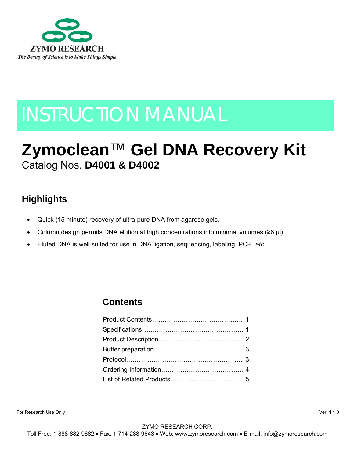

# INSTRUCTION MANUAL

# **Zymoclean**™ **Gel DNA Recovery Kit** Catalog Nos. **D4001 & D4002**

# **Highlights**

- Quick (15 minute) recovery of ultra-pure DNA from agarose gels.
- Column design permits DNA elution at high concentrations into minimal volumes ( $\geq 6$  µl).
- Eluted DNA is well suited for use in DNA ligation, sequencing, labeling, PCR, *etc*.

### **Contents**

For Research Use Only Ver. 1.1.0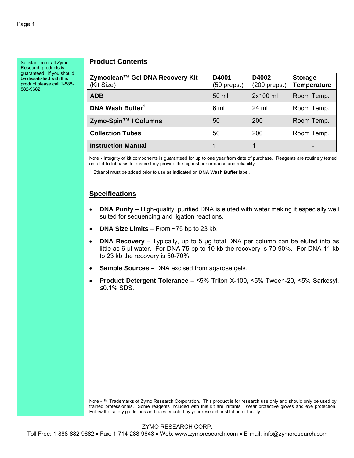Satisfaction of all Zymo Research products is guaranteed. If you should be dissatisfied with this product please call 1-888- 882-9682.

#### **Product Contents**

| Zymoclean™ Gel DNA Recovery Kit<br>(Kit Size) | D4001<br>(50 preps.) | D4002<br>$(200$ preps.) | <b>Storage</b><br>Temperature |
|-----------------------------------------------|----------------------|-------------------------|-------------------------------|
| <b>ADB</b>                                    | 50 ml                | 2x100 ml                | Room Temp.                    |
| DNA Wash Buffer <sup>1</sup>                  | 6 ml                 | 24 ml                   | Room Temp.                    |
| Zymo-Spin™ I Columns                          | 50                   | 200                     | Room Temp.                    |
| <b>Collection Tubes</b>                       | 50                   | 200                     | Room Temp.                    |
| <b>Instruction Manual</b>                     |                      |                         | -                             |

Note **-** Integrity of kit components is guaranteed for up to one year from date of purchase. Reagents are routinely tested on a lot-to-lot basis to ensure they provide the highest performance and reliability.

1 Ethanol must be added prior to use as indicated on **DNA Wash Buffer** label.

#### **Specifications**

- **DNA Purity**  High-quality, purified DNA is eluted with water making it especially well suited for sequencing and ligation reactions.
- **DNA Size Limits** From ~75 bp to 23 kb.
- **DNA Recovery** Typically, up to 5 µg total DNA per column can be eluted into as little as 6 µl water. For DNA 75 bp to 10 kb the recovery is 70-90%. For DNA 11 kb to 23 kb the recovery is 50-70%.
- **Sample Sources** DNA excised from agarose gels.
- **Product Detergent Tolerance** ≤5% Triton X-100, ≤5% Tween-20, ≤5% Sarkosyl, ≤0.1% SDS.

Note - ™ Trademarks of Zymo Research Corporation. This product is for research use only and should only be used by trained professionals. Some reagents included with this kit are irritants. Wear protective gloves and eye protection. Follow the safety guidelines and rules enacted by your research institution or facility.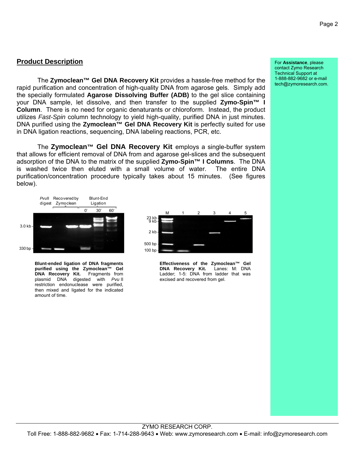#### **Product Description**

 The **Zymoclean™ Gel DNA Recovery Kit** provides a hassle-free method for the rapid purification and concentration of high-quality DNA from agarose gels. Simply add the specially formulated **Agarose Dissolving Buffer (ADB)** to the gel slice containing your DNA sample, let dissolve, and then transfer to the supplied **Zymo-Spin™ I Column**. There is no need for organic denaturants or chloroform. Instead, the product utilizes *Fast-Spin* column technology to yield high-quality, purified DNA in just minutes. DNA purified using the **Zymoclean™ Gel DNA Recovery Kit** is perfectly suited for use in DNA ligation reactions, sequencing, DNA labeling reactions, PCR, etc.

The **Zymoclean™ Gel DNA Recovery Kit** employs a single-buffer system that allows for efficient removal of DNA from and agarose gel-slices and the subsequent adsorption of the DNA to the matrix of the supplied **Zymo-Spin™ I Columns**. The DNA is washed twice then eluted with a small volume of water. The entire DNA purification/concentration procedure typically takes about 15 minutes. (See figures below).



**Blunt-ended ligation of DNA fragments purified using the Zymoclean™ Gel DNA Recovery Kit.** Fragments from plasmid DNA digested with *Pvu* II restriction endonuclease were purified, then mixed and ligated for the indicated amount of time.



**Effectiveness of the Zymoclean™ Gel DNA Recovery Kit.** Lanes: M: DNA Ladder; 1-5: DNA from ladder that was excised and recovered from gel.

For **Assistance**, please contact Zymo Research Technical Support at 1-888-882-9682 or e-mail tech@zymoresearch.com.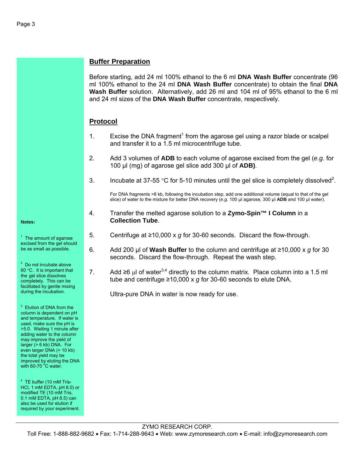#### **Buffer Preparation**

Before starting, add 24 ml 100% ethanol to the 6 ml **DNA Wash Buffer** concentrate (96 ml 100% ethanol to the 24 ml **DNA Wash Buffer** concentrate) to obtain the final **DNA Wash Buffer** solution. Alternatively, add 26 ml and 104 ml of 95% ethanol to the 6 ml and 24 ml sizes of the **DNA Wash Buffer** concentrate, respectively.

#### **Protocol**

- 1. Excise the DNA fragment<sup>1</sup> from the agarose gel using a razor blade or scalpel and transfer it to a 1.5 ml microcentrifuge tube.
- 2. Add 3 volumes of **ADB** to each volume of agarose excised from the gel (*e.g.* for 100 µl (mg) of agarose gel slice add 300 µl of **ADB)**.
- 3. Incubate at 37-55 °C for 5-10 minutes until the gel slice is completely dissolved<sup>2</sup>.

For DNA fragments >8 kb, following the incubation step, add one additional volume (equal to that of the gel slice) of water to the mixture for better DNA recovery (*e.g.* 100 µl agarose, 300 µl **ADB** and 100 µl water).

- 4. Transfer the melted agarose solution to a **Zymo-Spin™ I Column** in a **Collection Tube**.
- 5. Centrifuge at ≥10,000 x *g* for 30-60 seconds. Discard the flow-through.
- 6. Add 200 µl of **Wash Buffer** to the column and centrifuge at ≥10,000 x *g* for 30 seconds. Discard the flow-through. Repeat the wash step.
- 7. Add  $\geq 6$  μl of water<sup>3,4</sup> directly to the column matrix. Place column into a 1.5 ml tube and centrifuge ≥10,000 x *g* for 30-60 seconds to elute DNA.

Ultra-pure DNA in water is now ready for use.

 $<sup>1</sup>$  The amount of agarose</sup> excised from the gel should be as small as possible.

 $2$  Do not incubate above 60 °C. It is important that the gel slice dissolves completely. This can be facilitated by gentle mixing during the incubation.

<sup>3</sup> Elution of DNA from the column is dependent on pH and temperature. If water is used, make sure the pH is >5.0. Waiting 1 minute after adding water to the column may improve the yield of larger (> 6 kb) DNA. For even larger DNA (> 10 kb) the total yield may be improved by eluting the DNA with 60-70 $^{\circ}$ C water.

<sup>4</sup> TE buffer (10 mM Tris-HCl, 1 mM EDTA, pH 8.0) or modified TE (10 mM Tris, 0.1 mM EDTA, pH 8.5) can also be used for elution if required by your experiment.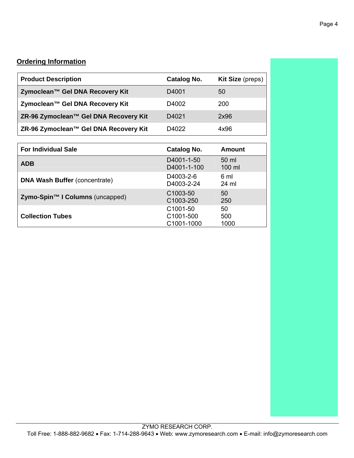#### **Ordering Information**

| <b>Product Description</b>            | Catalog No.                        | <b>Kit Size</b> (preps)   |
|---------------------------------------|------------------------------------|---------------------------|
| Zymoclean™ Gel DNA Recovery Kit       | D4001                              | 50                        |
| Zymoclean™ Gel DNA Recovery Kit       | D4002                              | 200                       |
| ZR-96 Zymoclean™ Gel DNA Recovery Kit | D4021                              | 2x96                      |
| ZR-96 Zymoclean™ Gel DNA Recovery Kit | D4022                              | 4x96                      |
|                                       |                                    |                           |
| <b>For Individual Sale</b>            | Catalog No.                        | Amount                    |
| <b>ADB</b>                            | D4001-1-50<br>D4001-1-100          | 50 ml<br>$100 \mathrm{m}$ |
| <b>DNA Wash Buffer (concentrate)</b>  | D4003-2-6<br>D4003-2-24            | 6 ml<br>24 ml             |
| Zymo-Spin™ I Columns (uncapped)       | C <sub>1003</sub> -50<br>C1003-250 | 50<br>250                 |
| <b>Collection Tubes</b>               | C <sub>1001</sub> -50              | 50                        |

C1001-500 C1001-1000 500 1000